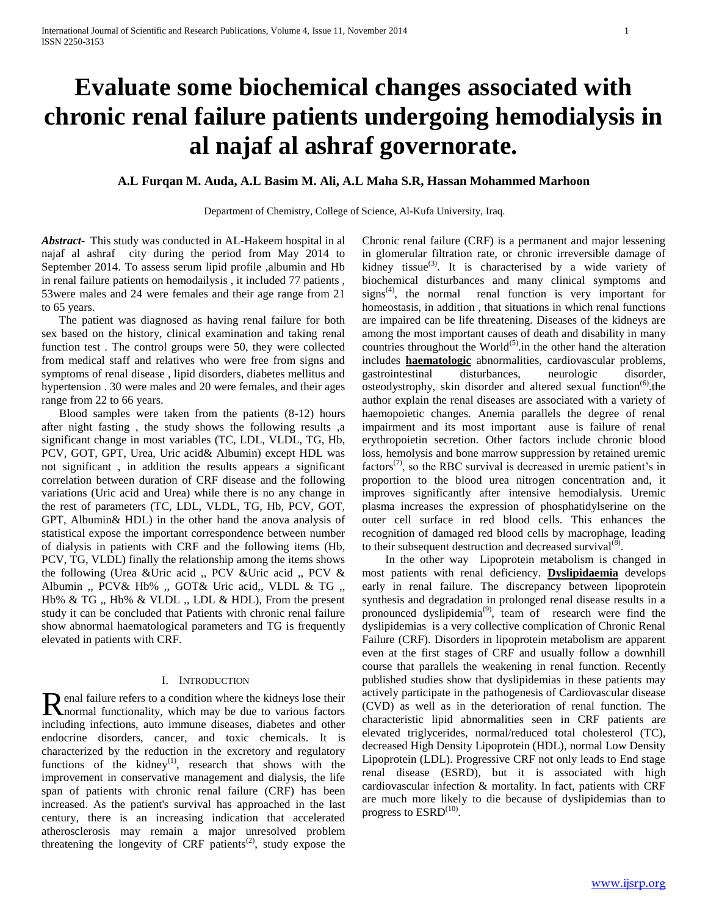# **Evaluate some biochemical changes associated with chronic renal failure patients undergoing hemodialysis in al najaf al ashraf governorate.**

# **A.L Furqan M. Auda, A.L Basim M. Ali, A.L Maha S.R, Hassan Mohammed Marhoon**

Department of Chemistry, College of Science, Al-Kufa University, Iraq.

*Abstract***-** This study was conducted in AL-Hakeem hospital in al najaf al ashraf city during the period from May 2014 to September 2014. To assess serum lipid profile ,albumin and Hb in renal failure patients on hemodailysis , it included 77 patients , 53were males and 24 were females and their age range from 21 to 65 years.

 The patient was diagnosed as having renal failure for both sex based on the history, clinical examination and taking renal function test . The control groups were 50, they were collected from medical staff and relatives who were free from signs and symptoms of renal disease , lipid disorders, diabetes mellitus and hypertension . 30 were males and 20 were females, and their ages range from 22 to 66 years.

 Blood samples were taken from the patients (8-12) hours after night fasting , the study shows the following results ,a significant change in most variables (TC, LDL, VLDL, TG, Hb, PCV, GOT, GPT, Urea, Uric acid& Albumin) except HDL was not significant , in addition the results appears a significant correlation between duration of CRF disease and the following variations (Uric acid and Urea) while there is no any change in the rest of parameters (TC, LDL, VLDL, TG, Hb, PCV, GOT, GPT, Albumin& HDL) in the other hand the anova analysis of statistical expose the important correspondence between number of dialysis in patients with CRF and the following items (Hb, PCV, TG, VLDL) finally the relationship among the items shows the following (Urea &Uric acid ,, PCV &Uric acid ,, PCV & Albumin ,, PCV& Hb% ,, GOT& Uric acid,, VLDL & TG ,, Hb% & TG ,, Hb% & VLDL ,, LDL & HDL), From the present study it can be concluded that Patients with chronic renal failure show abnormal haematological parameters and TG is frequently elevated in patients with CRF.

## I. INTRODUCTION

enal failure refers to a condition where the kidneys lose their Renal failure refers to a condition where the kidneys lose their<br>
Rnormal functionality, which may be due to various factors including infections, auto immune diseases, diabetes and other endocrine disorders, cancer, and toxic chemicals. It is characterized by the reduction in the excretory and regulatory functions of the kidney<sup>(1)</sup>, research that shows with the improvement in conservative management and dialysis, the life span of patients with chronic renal failure (CRF) has been increased. As the patient's survival has approached in the last century, there is an increasing indication that accelerated atherosclerosis may remain a major unresolved problem threatening the longevity of CRF patients<sup>(2)</sup>, study expose the

Chronic renal failure (CRF) is a permanent and major lessening in glomerular filtration rate, or chronic irreversible damage of kidney tissue<sup>(3)</sup>. It is characterised by a wide variety of biochemical disturbances and many clinical symptoms and  $signs<sup>(4)</sup>$ , the normal renal function is very important for homeostasis, in addition , that situations in which renal functions are impaired can be life threatening. Diseases of the kidneys are among the most important causes of death and disability in many countries throughout the World<sup>(5)</sup>.in the other hand the alteration includes **haematologic** abnormalities, cardiovascular problems, gastrointestinal disturbances, neurologic disorder, osteodystrophy, skin disorder and altered sexual function<sup>(6)</sup>.the author explain the renal diseases are associated with a variety of haemopoietic changes. Anemia parallels the degree of renal impairment and its most important ause is failure of renal erythropoietin secretion. Other factors include chronic blood loss, hemolysis and bone marrow suppression by retained uremic factors<sup> $(7)$ </sup>, so the RBC survival is decreased in uremic patient's in proportion to the blood urea nitrogen concentration and, it improves significantly after intensive hemodialysis. Uremic plasma increases the expression of phosphatidylserine on the outer cell surface in red blood cells. This enhances the recognition of damaged red blood cells by macrophage, leading to their subsequent destruction and decreased survival $(\bar{8})$ .

 In the other way Lipoprotein metabolism is changed in most patients with renal deficiency. **Dyslipidaemia** develops early in renal failure. The discrepancy between lipoprotein synthesis and degradation in prolonged renal disease results in a pronounced dyslipidemia(9), team of research were find the dyslipidemias is a very collective complication of Chronic Renal Failure (CRF). Disorders in lipoprotein metabolism are apparent even at the first stages of CRF and usually follow a downhill course that parallels the weakening in renal function. Recently published studies show that dyslipidemias in these patients may actively participate in the pathogenesis of Cardiovascular disease (CVD) as well as in the deterioration of renal function. The characteristic lipid abnormalities seen in CRF patients are elevated triglycerides, normal/reduced total cholesterol (TC), decreased High Density Lipoprotein (HDL), normal Low Density Lipoprotein (LDL). Progressive CRF not only leads to End stage renal disease (ESRD), but it is associated with high cardiovascular infection & mortality. In fact, patients with CRF are much more likely to die because of dyslipidemias than to progress to  $\mathrm{ESRD}^{(10)}$ .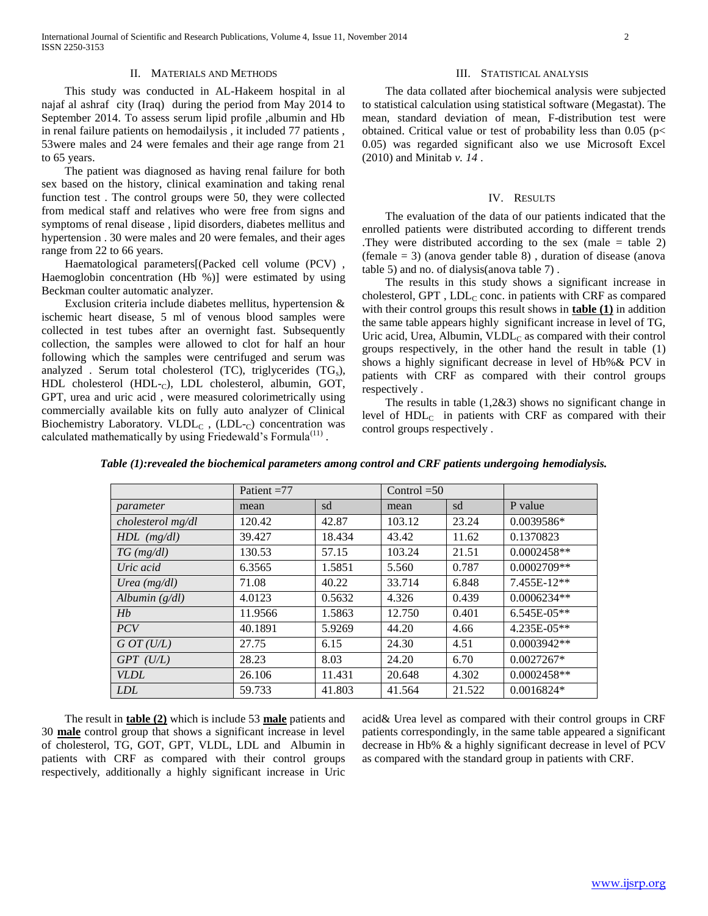### II. MATERIALS AND METHODS

 This study was conducted in AL-Hakeem hospital in al najaf al ashraf city (Iraq) during the period from May 2014 to September 2014. To assess serum lipid profile ,albumin and Hb in renal failure patients on hemodailysis , it included 77 patients , 53were males and 24 were females and their age range from 21 to 65 years.

 The patient was diagnosed as having renal failure for both sex based on the history, clinical examination and taking renal function test . The control groups were 50, they were collected from medical staff and relatives who were free from signs and symptoms of renal disease , lipid disorders, diabetes mellitus and hypertension . 30 were males and 20 were females, and their ages range from 22 to 66 years.

 Haematological parameters[(Packed cell volume (PCV) , Haemoglobin concentration (Hb %)] were estimated by using Beckman coulter automatic analyzer.

 Exclusion criteria include diabetes mellitus, hypertension & ischemic heart disease, 5 ml of venous blood samples were collected in test tubes after an overnight fast. Subsequently collection, the samples were allowed to clot for half an hour following which the samples were centrifuged and serum was analyzed . Serum total cholesterol (TC), triglycerides  $(TG_s)$ , HDL cholesterol (HDL- $_C$ ), LDL cholesterol, albumin, GOT, GPT, urea and uric acid , were measured colorimetrically using commercially available kits on fully auto analyzer of Clinical Biochemistry Laboratory. VLDL<sub>C</sub>, (LDL- $_{C}$ ) concentration was calculated mathematically by using Friedewald's Formula $<sup>(11)</sup>$ .</sup>

## III. STATISTICAL ANALYSIS

 The data collated after biochemical analysis were subjected to statistical calculation using statistical software (Megastat). The mean, standard deviation of mean, F-distribution test were obtained. Critical value or test of probability less than  $0.05$  (p< 0.05) was regarded significant also we use Microsoft Excel (2010) and Minitab *v. 14* .

## IV. RESULTS

 The evaluation of the data of our patients indicated that the enrolled patients were distributed according to different trends .They were distributed according to the sex (male = table 2) (female  $= 3$ ) (anova gender table 8), duration of disease (anova table 5) and no. of dialysis(anova table 7) .

 The results in this study shows a significant increase in cholesterol, GPT,  $LDL<sub>C</sub>$  conc. in patients with CRF as compared with their control groups this result shows in **table (1)** in addition the same table appears highly significant increase in level of TG, Uric acid, Urea, Albumin, VLDL<sub>C</sub> as compared with their control groups respectively, in the other hand the result in table (1) shows a highly significant decrease in level of Hb%& PCV in patients with CRF as compared with their control groups respectively .

 The results in table (1,2&3) shows no significant change in level of  $HDL<sub>C</sub>$  in patients with CRF as compared with their control groups respectively .

|                   | Patient $=77$ |        | Control $=50$ |        |                  |
|-------------------|---------------|--------|---------------|--------|------------------|
| parameter         | mean          | sd     | mean          | sd     | P value          |
| cholesterol mg/dl | 120.42        | 42.87  | 103.12        | 23.24  | $0.0039586*$     |
| $HDL$ (mg/dl)     | 39.427        | 18.434 | 43.42         | 11.62  | 0.1370823        |
| $TG \, (mg/dl)$   | 130.53        | 57.15  | 103.24        | 21.51  | $0.0002458**$    |
| Uric acid         | 6.3565        | 1.5851 | 5.560         | 0.787  | $0.0002709**$    |
| Urea $(mg/dl)$    | 71.08         | 40.22  | 33.714        | 6.848  | $7.455E-12**$    |
| Albumin $(g/dl)$  | 4.0123        | 0.5632 | 4.326         | 0.439  | $0.0006234**$    |
| Hb                | 11.9566       | 1.5863 | 12.750        | 0.401  | $6.545E-05**$    |
| PCV               | 40.1891       | 5.9269 | 44.20         | 4.66   | $4.235E - 0.5**$ |
| G O T (U/L)       | 27.75         | 6.15   | 24.30         | 4.51   | $0.0003942**$    |
| $GPT$ (U/L)       | 28.23         | 8.03   | 24.20         | 6.70   | $0.0027267*$     |
| <i>VLDL</i>       | 26.106        | 11.431 | 20.648        | 4.302  | $0.0002458**$    |
| <b>LDL</b>        | 59.733        | 41.803 | 41.564        | 21.522 | $0.0016824*$     |

*Table (1):revealed the biochemical parameters among control and CRF patients undergoing hemodialysis.*

 The result in **table (2)** which is include 53 **male** patients and 30 **male** control group that shows a significant increase in level of cholesterol, TG, GOT, GPT, VLDL, LDL and Albumin in patients with CRF as compared with their control groups respectively, additionally a highly significant increase in Uric acid& Urea level as compared with their control groups in CRF patients correspondingly, in the same table appeared a significant decrease in Hb% & a highly significant decrease in level of PCV as compared with the standard group in patients with CRF.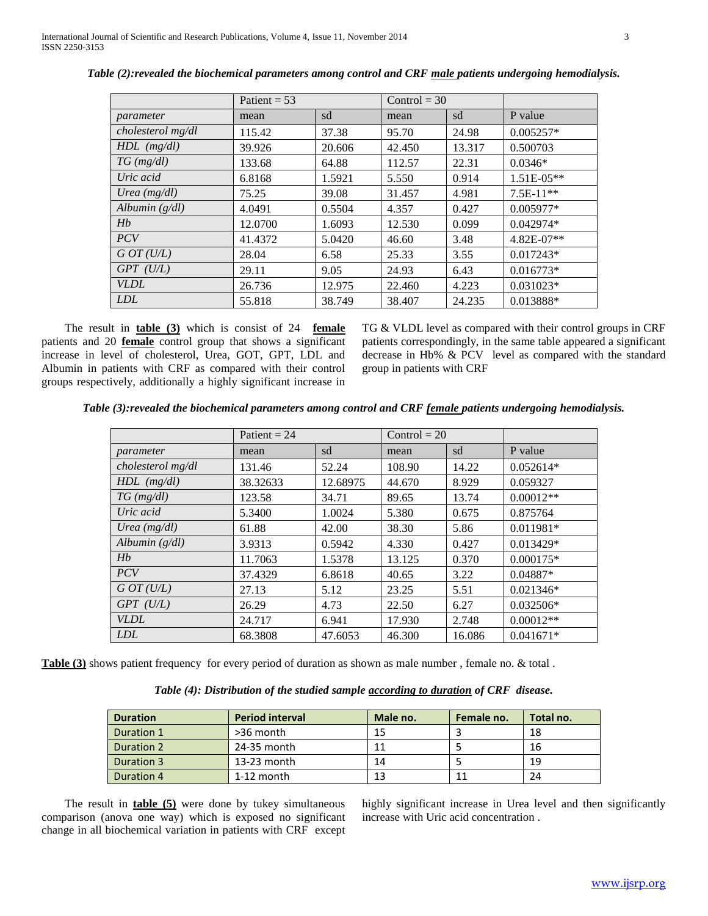|                   | Patient = $53$ |        | $Control = 30$ |        |              |
|-------------------|----------------|--------|----------------|--------|--------------|
| parameter         | mean           | sd     | mean           | sd     | P value      |
| cholesterol mg/dl | 115.42         | 37.38  | 95.70          | 24.98  | $0.005257*$  |
| $HDL$ (mg/dl)     | 39.926         | 20.606 | 42.450         | 13.317 | 0.500703     |
| $TG \, (mg/dl)$   | 133.68         | 64.88  | 112.57         | 22.31  | $0.0346*$    |
| Uric acid         | 6.8168         | 1.5921 | 5.550          | 0.914  | $1.51E-05**$ |
| Urea $(mg/dl)$    | 75.25          | 39.08  | 31.457         | 4.981  | $7.5E-11**$  |
| Albumin $(g/dl)$  | 4.0491         | 0.5504 | 4.357          | 0.427  | $0.005977*$  |
| Hb                | 12.0700        | 1.6093 | 12.530         | 0.099  | $0.042974*$  |
| <b>PCV</b>        | 41.4372        | 5.0420 | 46.60          | 3.48   | 4.82E-07**   |
| G O T (U/L)       | 28.04          | 6.58   | 25.33          | 3.55   | $0.017243*$  |
| $GPT$ (U/L)       | 29.11          | 9.05   | 24.93          | 6.43   | $0.016773*$  |
| <b>VLDL</b>       | 26.736         | 12.975 | 22.460         | 4.223  | $0.031023*$  |
| <i>LDL</i>        | 55.818         | 38.749 | 38.407         | 24.235 | 0.013888*    |

*Table (2):revealed the biochemical parameters among control and CRF male patients undergoing hemodialysis.*

 The result in **table (3)** which is consist of 24 **female** patients and 20 **female** control group that shows a significant increase in level of cholesterol, Urea, GOT, GPT, LDL and Albumin in patients with CRF as compared with their control groups respectively, additionally a highly significant increase in

TG & VLDL level as compared with their control groups in CRF patients correspondingly, in the same table appeared a significant decrease in Hb% & PCV level as compared with the standard group in patients with CRF

*Table (3):revealed the biochemical parameters among control and CRF female patients undergoing hemodialysis.*

|                   | Patient = $24$ |          | $Control = 20$ |        |             |
|-------------------|----------------|----------|----------------|--------|-------------|
| parameter         | mean           | sd       | mean           | sd     | P value     |
| cholesterol mg/dl | 131.46         | 52.24    | 108.90         | 14.22  | $0.052614*$ |
| $HDL$ (mg/dl)     | 38.32633       | 12.68975 | 44.670         | 8.929  | 0.059327    |
| $TG$ (mg/dl)      | 123.58         | 34.71    | 89.65          | 13.74  | $0.00012**$ |
| Uric acid         | 5.3400         | 1.0024   | 5.380          | 0.675  | 0.875764    |
| Urea $(mg/dl)$    | 61.88          | 42.00    | 38.30          | 5.86   | $0.011981*$ |
| Albumin $(g/dl)$  | 3.9313         | 0.5942   | 4.330          | 0.427  | 0.013429*   |
| Hb                | 11.7063        | 1.5378   | 13.125         | 0.370  | $0.000175*$ |
| <b>PCV</b>        | 37.4329        | 6.8618   | 40.65          | 3.22   | $0.04887*$  |
| GOT(U/L)          | 27.13          | 5.12     | 23.25          | 5.51   | $0.021346*$ |
| $GPT$ (U/L)       | 26.29          | 4.73     | 22.50          | 6.27   | $0.032506*$ |
| <b>VLDL</b>       | 24.717         | 6.941    | 17.930         | 2.748  | $0.00012**$ |
| <b>LDL</b>        | 68.3808        | 47.6053  | 46.300         | 16.086 | $0.041671*$ |

**Table (3)** shows patient frequency for every period of duration as shown as male number, female no. & total.

*Table (4): Distribution of the studied sample according to duration of CRF disease.*

| <b>Duration</b> | <b>Period interval</b> | Male no. | Female no. | Total no. |
|-----------------|------------------------|----------|------------|-----------|
| Duration 1      | >36 month              |          |            | 18        |
| Duration 2      | 24-35 month            |          |            | 16        |
| Duration 3      | $13-23$ month          | 14       |            | 19        |
| Duration 4      | $1-12$ month           |          |            | 24        |

 The result in **table (5)** were done by tukey simultaneous comparison (anova one way) which is exposed no significant change in all biochemical variation in patients with CRF except

highly significant increase in Urea level and then significantly increase with Uric acid concentration .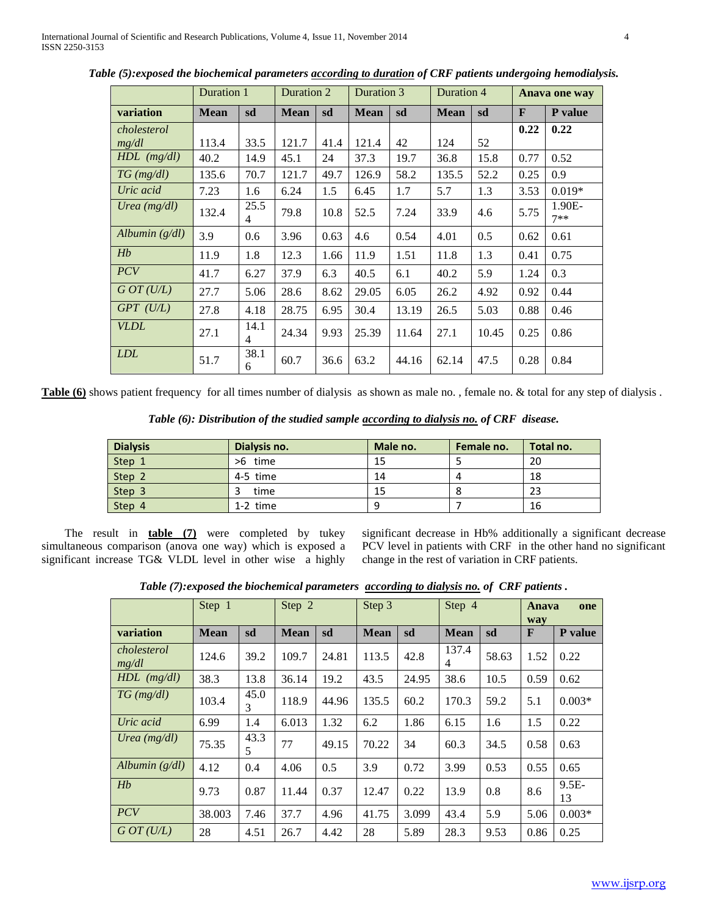|                  | Duration 1  |                        | Duration 2  |      | Duration 3  |       | Duration 4  |       |      | Anava one way   |
|------------------|-------------|------------------------|-------------|------|-------------|-------|-------------|-------|------|-----------------|
| variation        | <b>Mean</b> | sd                     | <b>Mean</b> | sd   | <b>Mean</b> | sd    | <b>Mean</b> | sd    | F    | P value         |
| cholesterol      |             |                        |             |      |             |       |             |       | 0.22 | 0.22            |
| mg/dl            | 113.4       | 33.5                   | 121.7       | 41.4 | 121.4       | 42    | 124         | 52    |      |                 |
| $HDL$ (mg/dl)    | 40.2        | 14.9                   | 45.1        | 24   | 37.3        | 19.7  | 36.8        | 15.8  | 0.77 | 0.52            |
| $TG \, (mg/dl)$  | 135.6       | 70.7                   | 121.7       | 49.7 | 126.9       | 58.2  | 135.5       | 52.2  | 0.25 | 0.9             |
| Uric acid        | 7.23        | 1.6                    | 6.24        | 1.5  | 6.45        | 1.7   | 5.7         | 1.3   | 3.53 | $0.019*$        |
| Urea (mg/dl)     | 132.4       | 25.5<br>4              | 79.8        | 10.8 | 52.5        | 7.24  | 33.9        | 4.6   | 5.75 | 1.90E-<br>$7**$ |
| Albumin $(g/dl)$ | 3.9         | 0.6                    | 3.96        | 0.63 | 4.6         | 0.54  | 4.01        | 0.5   | 0.62 | 0.61            |
| Hb               | 11.9        | 1.8                    | 12.3        | 1.66 | 11.9        | 1.51  | 11.8        | 1.3   | 0.41 | 0.75            |
| PCV              | 41.7        | 6.27                   | 37.9        | 6.3  | 40.5        | 6.1   | 40.2        | 5.9   | 1.24 | 0.3             |
| GOT(U/L)         | 27.7        | 5.06                   | 28.6        | 8.62 | 29.05       | 6.05  | 26.2        | 4.92  | 0.92 | 0.44            |
| $GPT$ (U/L)      | 27.8        | 4.18                   | 28.75       | 6.95 | 30.4        | 13.19 | 26.5        | 5.03  | 0.88 | 0.46            |
| <b>VLDL</b>      | 27.1        | 14.1<br>$\overline{4}$ | 24.34       | 9.93 | 25.39       | 11.64 | 27.1        | 10.45 | 0.25 | 0.86            |
| <i>LDL</i>       | 51.7        | 38.1<br>6              | 60.7        | 36.6 | 63.2        | 44.16 | 62.14       | 47.5  | 0.28 | 0.84            |

*Table (5):exposed the biochemical parameters according to duration of CRF patients undergoing hemodialysis.*

**Table (6)** shows patient frequency for all times number of dialysis as shown as male no., female no. & total for any step of dialysis.

*Table (6): Distribution of the studied sample according to dialysis no. of CRF disease.*

| <b>Dialysis</b> | Dialysis no. | Male no. | Female no. | Total no. |
|-----------------|--------------|----------|------------|-----------|
| Step 1          | >6 time      | 15       |            | 20        |
| Step 2          | 4-5 time     | 14       |            | 18        |
| Step 3          | time         | 15       |            | 23        |
| Step 4          | $1-2$ time   | ۰Q       |            | 16        |

 The result in **table (7)** were completed by tukey simultaneous comparison (anova one way) which is exposed a significant increase TG& VLDL level in other wise a highly significant decrease in Hb% additionally a significant decrease PCV level in patients with CRF in the other hand no significant change in the rest of variation in CRF patients.

*Table (7):exposed the biochemical parameters according to dialysis no. of CRF patients .*

|                      | Step 1      |           | Step 2      |       | Step 3      |       | Step 4      |       | Anava<br>way | one           |
|----------------------|-------------|-----------|-------------|-------|-------------|-------|-------------|-------|--------------|---------------|
| variation            | <b>Mean</b> | sd        | <b>Mean</b> | sd    | <b>Mean</b> | sd    | <b>Mean</b> | sd    | F            | P value       |
| cholesterol<br>mg/dl | 124.6       | 39.2      | 109.7       | 24.81 | 113.5       | 42.8  | 137.4<br>4  | 58.63 | 1.52         | 0.22          |
| $HDL$ (mg/dl)        | 38.3        | 13.8      | 36.14       | 19.2  | 43.5        | 24.95 | 38.6        | 10.5  | 0.59         | 0.62          |
| $TG \, (mg/dl)$      | 103.4       | 45.0<br>3 | 118.9       | 44.96 | 135.5       | 60.2  | 170.3       | 59.2  | 5.1          | $0.003*$      |
| Uric acid            | 6.99        | 1.4       | 6.013       | 1.32  | 6.2         | 1.86  | 6.15        | 1.6   | 1.5          | 0.22          |
| Urea (mg/dl)         | 75.35       | 43.3<br>5 | 77          | 49.15 | 70.22       | 34    | 60.3        | 34.5  | 0.58         | 0.63          |
| Albumin $(g/dl)$     | 4.12        | 0.4       | 4.06        | 0.5   | 3.9         | 0.72  | 3.99        | 0.53  | 0.55         | 0.65          |
| Hb                   | 9.73        | 0.87      | 11.44       | 0.37  | 12.47       | 0.22  | 13.9        | 0.8   | 8.6          | $9.5E-$<br>13 |
| PCV                  | 38.003      | 7.46      | 37.7        | 4.96  | 41.75       | 3.099 | 43.4        | 5.9   | 5.06         | $0.003*$      |
| GOT(U/L)             | 28          | 4.51      | 26.7        | 4.42  | 28          | 5.89  | 28.3        | 9.53  | 0.86         | 0.25          |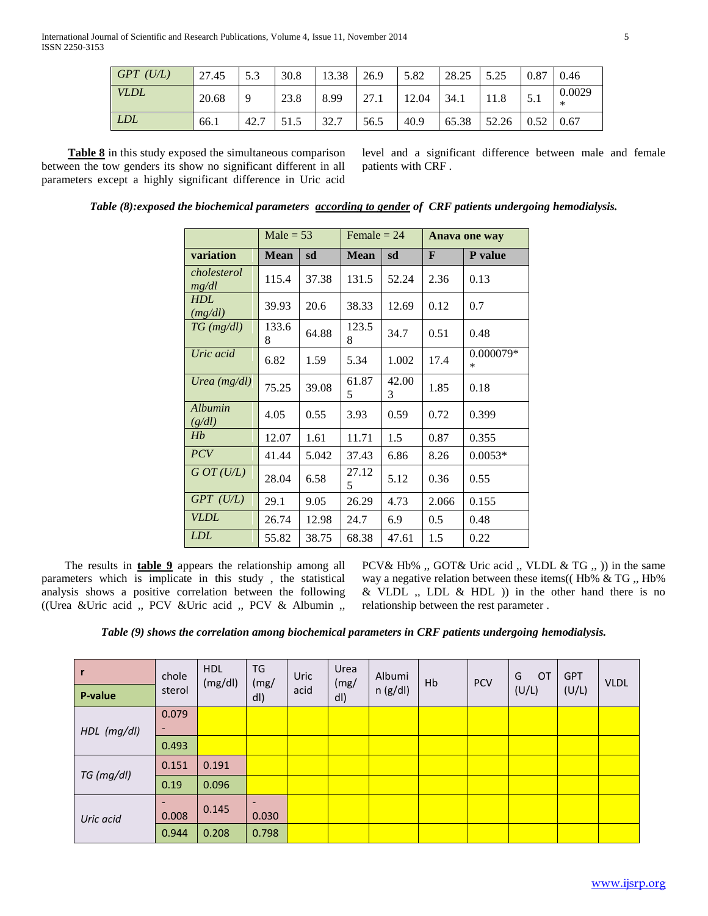| $GPT$ (U/L) | 27.45 | 5.3      | 30.8 | 13.38 | 26.9 | 5.82  | 28.25 | 5.25<br>ل⊶ ل | 0.87 | 0.46             |
|-------------|-------|----------|------|-------|------|-------|-------|--------------|------|------------------|
| <i>VLDL</i> | 20.68 | $\Omega$ | 23.8 | 8.99  | 27.1 | 12.04 | 34.1  |              | 5.1  | 0.0029<br>$\ast$ |
| <i>LDL</i>  | 66.1  | 42.7     | 51.5 | 32.7  | 56.5 | 40.9  | 65.38 | 52.26        | 0.52 | 0.67             |

 **Table 8** in this study exposed the simultaneous comparison between the tow genders its show no significant different in all parameters except a highly significant difference in Uric acid

level and a significant difference between male and female patients with CRF .

|                       | $Male = 53$ |       | Female $= 24$ |            |       | Anava one way       |
|-----------------------|-------------|-------|---------------|------------|-------|---------------------|
| variation             | <b>Mean</b> | sd    | <b>Mean</b>   | sd         | F     | <b>P</b> value      |
| cholesterol<br>mg/dl  | 115.4       | 37.38 | 131.5         | 52.24      | 2.36  | 0.13                |
| <b>HDL</b><br>(mg/dl) | 39.93       | 20.6  | 38.33         | 12.69      | 0.12  | 0.7                 |
| $TG$ (mg/dl)          | 133.6<br>8  | 64.88 | 123.5<br>8    | 34.7       | 0.51  | 0.48                |
| Uric acid             | 6.82        | 1.59  | 5.34          | 1.002      | 17.4  | 0.000079*<br>$\ast$ |
| Urea $(mg/dl)$        | 75.25       | 39.08 | 61.87<br>5    | 42.00<br>3 | 1.85  | 0.18                |
| Albumin<br>(g/dl)     | 4.05        | 0.55  | 3.93          | 0.59       | 0.72  | 0.399               |
| Hb                    | 12.07       | 1.61  | 11.71         | 1.5        | 0.87  | 0.355               |
| <b>PCV</b>            | 41.44       | 5.042 | 37.43         | 6.86       | 8.26  | $0.0053*$           |
| GOT(U/L)              | 28.04       | 6.58  | 27.12<br>5    | 5.12       | 0.36  | 0.55                |
| $GPT$ (U/L)           | 29.1        | 9.05  | 26.29         | 4.73       | 2.066 | 0.155               |
| VLDL                  | 26.74       | 12.98 | 24.7          | 6.9        | 0.5   | 0.48                |
| <b>LDL</b>            | 55.82       | 38.75 | 68.38         | 47.61      | 1.5   | 0.22                |

*Table (8):exposed the biochemical parameters according to gender of CRF patients undergoing hemodialysis.*

 The results in **table 9** appears the relationship among all parameters which is implicate in this study , the statistical analysis shows a positive correlation between the following ((Urea &Uric acid ,, PCV &Uric acid ,, PCV & Albumin ,,

PCV& Hb% ,, GOT& Uric acid ,, VLDL & TG ,, )) in the same way a negative relation between these items((Hb% & TG, Hb%)  $&$  VLDL  $,$  LDL  $&$  HDL  $)$  in the other hand there is no relationship between the rest parameter .

*Table (9) shows the correlation among biochemical parameters in CRF patients undergoing hemodialysis.*

| r           | chole  | <b>HDL</b><br>(mg/dl) | TG<br>(mg) | Uric | Urea<br>(mg) | Albumi  | Hb | <b>PCV</b> | OT<br>G | <b>GPT</b> | <b>VLDL</b> |
|-------------|--------|-----------------------|------------|------|--------------|---------|----|------------|---------|------------|-------------|
| P-value     | sterol |                       | dl)        | acid | dl)          | n(g/dl) |    |            | (U/L)   | (U/L)      |             |
|             | 0.079  |                       |            |      |              |         |    |            |         |            |             |
| HDL (mg/dl) |        |                       |            |      |              |         |    |            |         |            |             |
|             | 0.493  |                       |            |      |              |         |    |            |         |            |             |
|             | 0.151  | 0.191                 |            |      |              |         |    |            |         |            |             |
| TG (mg/dl)  | 0.19   | 0.096                 |            |      |              |         |    |            |         |            |             |
| Uric acid   |        | 0.145                 |            |      |              |         |    |            |         |            |             |
|             | 0.008  |                       | 0.030      |      |              |         |    |            |         |            |             |
|             | 0.944  | 0.208                 | 0.798      |      |              |         |    |            |         |            |             |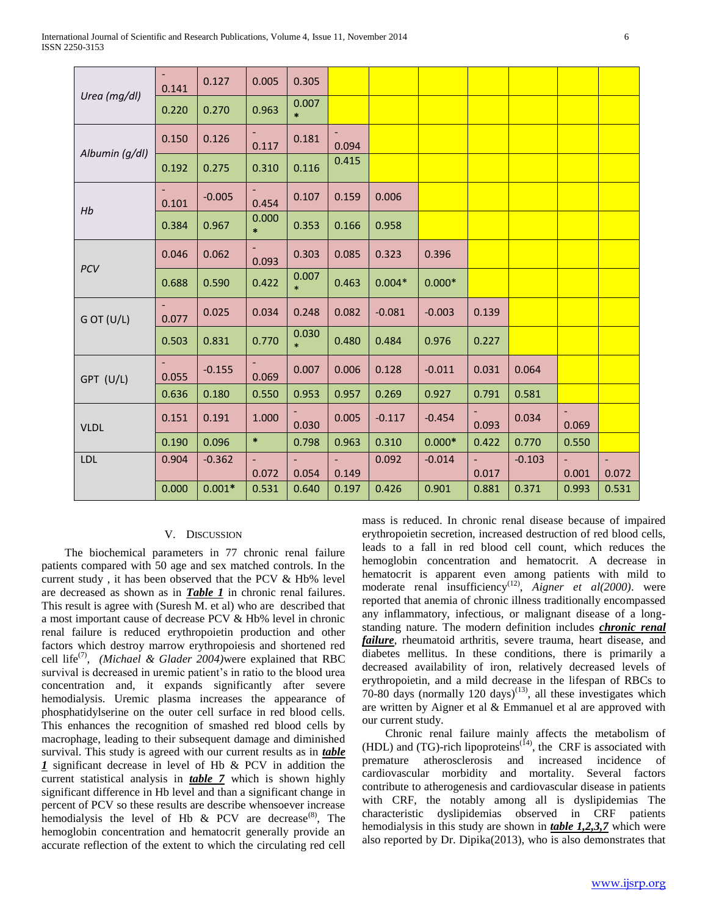|                | 0.141 | 0.127    | 0.005           | 0.305           |       |          |          |       |          |       |       |
|----------------|-------|----------|-----------------|-----------------|-------|----------|----------|-------|----------|-------|-------|
| Urea (mg/dl)   | 0.220 | 0.270    | 0.963           | 0.007<br>$\ast$ |       |          |          |       |          |       |       |
|                | 0.150 | 0.126    | 0.117           | 0.181           | 0.094 |          |          |       |          |       |       |
| Albumin (g/dl) | 0.192 | 0.275    | 0.310           | 0.116           | 0.415 |          |          |       |          |       |       |
| Hb             | 0.101 | $-0.005$ | 0.454           | 0.107           | 0.159 | 0.006    |          |       |          |       |       |
|                | 0.384 | 0.967    | 0.000<br>$\ast$ | 0.353           | 0.166 | 0.958    |          |       |          |       |       |
|                | 0.046 | 0.062    | 0.093           | 0.303           | 0.085 | 0.323    | 0.396    |       |          |       |       |
| PCV            | 0.688 | 0.590    | 0.422           | 0.007<br>$\ast$ | 0.463 | $0.004*$ | $0.000*$ |       |          |       |       |
| G OT (U/L)     | 0.077 | 0.025    | 0.034           | 0.248           | 0.082 | $-0.081$ | $-0.003$ | 0.139 |          |       |       |
|                | 0.503 | 0.831    | 0.770           | 0.030<br>$\ast$ | 0.480 | 0.484    | 0.976    | 0.227 |          |       |       |
| GPT (U/L)      | 0.055 | $-0.155$ | 0.069           | 0.007           | 0.006 | 0.128    | $-0.011$ | 0.031 | 0.064    |       |       |
|                | 0.636 | 0.180    | 0.550           | 0.953           | 0.957 | 0.269    | 0.927    | 0.791 | 0.581    |       |       |
| <b>VLDL</b>    | 0.151 | 0.191    | 1.000           | 0.030           | 0.005 | $-0.117$ | $-0.454$ | 0.093 | 0.034    | 0.069 |       |
|                | 0.190 | 0.096    | $\ast$          | 0.798           | 0.963 | 0.310    | $0.000*$ | 0.422 | 0.770    | 0.550 |       |
| <b>LDL</b>     | 0.904 | $-0.362$ | 0.072           | 0.054           | 0.149 | 0.092    | $-0.014$ | 0.017 | $-0.103$ | 0.001 | 0.072 |
|                | 0.000 | $0.001*$ | 0.531           | 0.640           | 0.197 | 0.426    | 0.901    | 0.881 | 0.371    | 0.993 | 0.531 |

## V. DISCUSSION

 The biochemical parameters in 77 chronic renal failure patients compared with 50 age and sex matched controls. In the current study , it has been observed that the PCV & Hb% level are decreased as shown as in *Table 1* in chronic renal failures. This result is agree with (Suresh M. et al) who are described that a most important cause of decrease PCV & Hb% level in chronic renal failure is reduced erythropoietin production and other factors which destroy marrow erythropoiesis and shortened red cell life<sup>(7)</sup>, *(Michael & Glader 2004)* were explained that RBC survival is decreased in uremic patient's in ratio to the blood urea concentration and, it expands significantly after severe hemodialysis. Uremic plasma increases the appearance of phosphatidylserine on the outer cell surface in red blood cells. This enhances the recognition of smashed red blood cells by macrophage, leading to their subsequent damage and diminished survival. This study is agreed with our current results as in *table 1* significant decrease in level of Hb & PCV in addition the current statistical analysis in *table 7* which is shown highly significant difference in Hb level and than a significant change in percent of PCV so these results are describe whensoever increase hemodialysis the level of Hb & PCV are decrease<sup>(8)</sup>, The hemoglobin concentration and hematocrit generally provide an accurate reflection of the extent to which the circulating red cell

mass is reduced. In chronic renal disease because of impaired erythropoietin secretion, increased destruction of red blood cells, leads to a fall in red blood cell count, which reduces the hemoglobin concentration and hematocrit. A decrease in hematocrit is apparent even among patients with mild to moderate renal insufficiency<sup>(12)</sup>, Aigner et al(2000). were reported that anemia of chronic illness traditionally encompassed any inflammatory, infectious, or malignant disease of a longstanding nature. The modern definition includes *chronic renal failure*, rheumatoid arthritis, severe trauma, heart disease, and diabetes mellitus. In these conditions, there is primarily a decreased availability of iron, relatively decreased levels of erythropoietin, and a mild decrease in the lifespan of RBCs to 70-80 days (normally 120 days)<sup>(13)</sup>, all these investigates which are written by Aigner et al & Emmanuel et al are approved with our current study.

 Chronic renal failure mainly affects the metabolism of (HDL) and (TG)-rich lipoproteins<sup> $(14)$ </sup>, the CRF is associated with premature atherosclerosis and increased incidence of cardiovascular morbidity and mortality. Several factors contribute to atherogenesis and cardiovascular disease in patients with CRF, the notably among all is dyslipidemias The characteristic dyslipidemias observed in CRF patients hemodialysis in this study are shown in *table 1,2,3,7* which were also reported by Dr. Dipika(2013), who is also demonstrates that